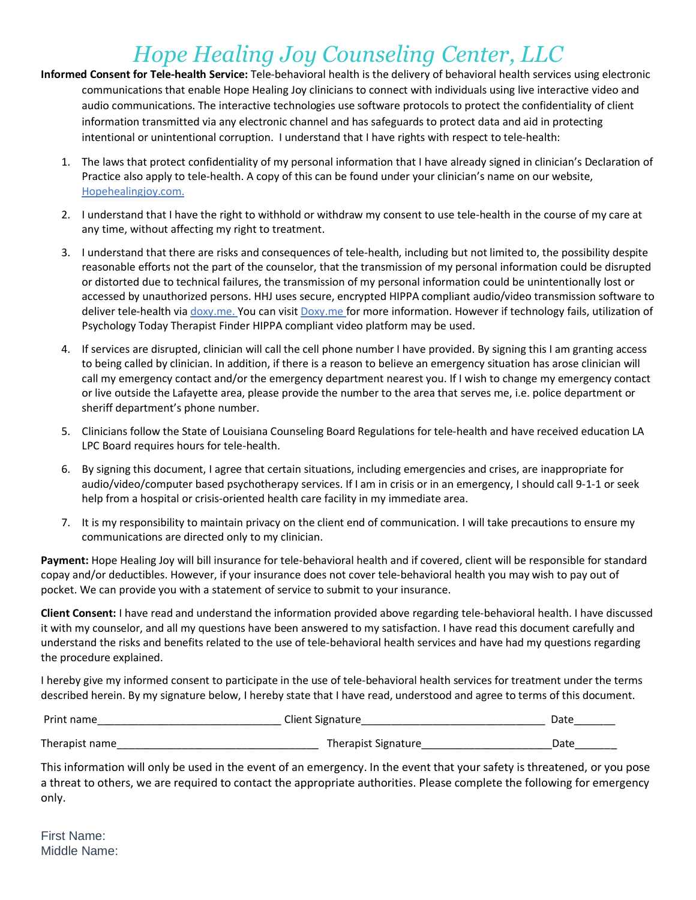## *Hope Healing Joy Counseling Center, LLC*

- **Informed Consent for Tele-health Service:** Tele-behavioral health is the delivery of behavioral health services using electronic communications that enable Hope Healing Joy clinicians to connect with individuals using live interactive video and audio communications. The interactive technologies use software protocols to protect the confidentiality of client information transmitted via any electronic channel and has safeguards to protect data and aid in protecting intentional or unintentional corruption. I understand that I have rights with respect to tele-health:
	- 1. The laws that protect confidentiality of my personal information that I have already signed in clinician's Declaration of Practice also apply to tele-health. A copy of this can be found under your clinician's name on our website, Hopehealingjoy.com.
	- 2. I understand that I have the right to withhold or withdraw my consent to use tele-health in the course of my care at any time, without affecting my right to treatment.
	- 3. I understand that there are risks and consequences of tele-health, including but not limited to, the possibility despite reasonable efforts not the part of the counselor, that the transmission of my personal information could be disrupted or distorted due to technical failures, the transmission of my personal information could be unintentionally lost or accessed by unauthorized persons. HHJ uses secure, encrypted HIPPA compliant audio/video transmission software to deliver tele-health via doxy.me. You can visit Doxy.me for more information. However if technology fails, utilization of Psychology Today Therapist Finder HIPPA compliant video platform may be used.
	- 4. If services are disrupted, clinician will call the cell phone number I have provided. By signing this I am granting access to being called by clinician. In addition, if there is a reason to believe an emergency situation has arose clinician will call my emergency contact and/or the emergency department nearest you. If I wish to change my emergency contact or live outside the Lafayette area, please provide the number to the area that serves me, i.e. police department or sheriff department's phone number.
	- 5. Clinicians follow the State of Louisiana Counseling Board Regulations for tele-health and have received education LA LPC Board requires hours for tele-health.
	- 6. By signing this document, I agree that certain situations, including emergencies and crises, are inappropriate for audio/video/computer based psychotherapy services. If I am in crisis or in an emergency, I should call 9-1-1 or seek help from a hospital or crisis-oriented health care facility in my immediate area.
	- 7. It is my responsibility to maintain privacy on the client end of communication. I will take precautions to ensure my communications are directed only to my clinician.

**Payment:** Hope Healing Joy will bill insurance for tele-behavioral health and if covered, client will be responsible for standard copay and/or deductibles. However, if your insurance does not cover tele-behavioral health you may wish to pay out of pocket. We can provide you with a statement of service to submit to your insurance.

**Client Consent:** I have read and understand the information provided above regarding tele-behavioral health. I have discussed it with my counselor, and all my questions have been answered to my satisfaction. I have read this document carefully and understand the risks and benefits related to the use of tele-behavioral health services and have had my questions regarding the procedure explained.

I hereby give my informed consent to participate in the use of tele-behavioral health services for treatment under the terms described herein. By my signature below, I hereby state that I have read, understood and agree to terms of this document.

| Print name     | Client Signature    | Date |
|----------------|---------------------|------|
| Therapist name | Therapist Signature | Date |

This information will only be used in the event of an emergency. In the event that your safety is threatened, or you pose a threat to others, we are required to contact the appropriate authorities. Please complete the following for emergency only.

First Name: Middle Name: